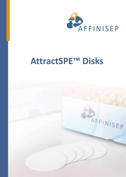

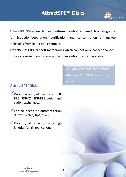

**AttractSPE™Disks** are **thin** and **uniform** membranes based chromatography for Extraction/separation, purification and concentration of analyte molecules from liquid or air samples.

AttractSPE™Disks are soft membranes which can not only collect analytes but also release them for analysis with an elution step, if necessary.

> *SPE Particle-loaded membranes with more than 90% Sorbent by weight*

## **AttractSPE™Disks**

 $\checkmark$  Broad diversity of chemistry: C18, HLB, SDB-XC, SDB-RPS, Anion and cation exchanges...

 $\checkmark$  For all needs of automatization 96 well plates, tips, disks

V Diversity of capacity giving high kinetics for all applications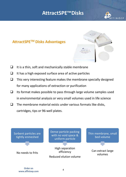

## **AttractSPETM Disks Advantages**



- $\Box$  It is a thin, soft and mechanically stable membrane
- $\Box$  It has a high exposed surface area of active particles
- $\Box$  This very interesting feature makes the membrane specially designed for many applications of extraction or purification
- $\Box$  Its format makes possible to pass through large volume samples used in environmental analysis or very small volumes used in life science
- $\Box$  The membrane material exists under various formats like disks, cartridges, tips or 96-well plates.

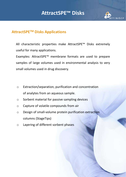

## **AttractSPETM Disks Applications**

All characteristic properties make AttractSPE™ Disks extremely useful for many applications.

Examples: AttractSPE™ membrane formats are used to prepare samples of large volumes used in environmental analysis to very small volumes used in drug discovery.

- o Extraction/separation, purification and concentration of analytes from an aqueous sample.
- o Sorbent material for passive sampling devices
- o Capture of volatile compounds from air
- o Design of small-volume protein purification extraction columns (StageTips)
- o Layering of different sorbent phases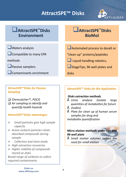

## q**AttractSPE™Disks Environment**

## q**AttractSPE™Disks BioMol**

 $\Box$ Waters analysis

 $\Box$ Compatible to many EPA

## methods

- **Passive samplers**
- $\mathsf{\Gamma}$ Contaminants enrichment

## **QAutomated process to desalt or**

"clean-up" proteins/peptides

 $\Box$  Liquid handling robotics,

StageTips, 96 well plates and

disks

## *AttractSPE™Disks for Passive Sampling*

- q *Chemcatcher™, POCIS*
- q *Air sampling to identify and quantify health hazards*

## *AttractSPE™Disks advantages*

- Ø *Small particles give high sample capacity*
- Ø *Active sorbent particles retain absorbed compounds during sample*
- Ø *Collection and store easily*
- Ø *High extraction recoveries*
- Ø *Higher stability of compounds stored on disks*

*Broad range of sorbents to collect required contaminants*

## *AttractSPE™ Disks for Bio Application*

## *Disks extraction methods*

- *Urine analysis (Isolate large quantities of metabolites for future*
- *studies)*
- *Plate for clean up of human serum samples for drug and metabolite quantification*

## *Micro elution methods under tips and 96-well plate*

• *Small elution volumes reduce the need for small elution*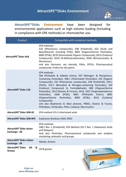

**DAFFINISEP** 

**AttractSPE™Disks Environment** have been designed for environmental applications such as high volume loading (including in compliance with EPA methods) or chemcatcher use.

| Product                                                           | Compatible with analytical methods                                                                                                                                                                                                                                                                                                                                                                                                                                                                                                                                                                                                                                                                                     |  |  |
|-------------------------------------------------------------------|------------------------------------------------------------------------------------------------------------------------------------------------------------------------------------------------------------------------------------------------------------------------------------------------------------------------------------------------------------------------------------------------------------------------------------------------------------------------------------------------------------------------------------------------------------------------------------------------------------------------------------------------------------------------------------------------------------------------|--|--|
| <b>AttractSPE™Disks HLB</b>                                       | EPA methods:<br>532 (Phenylurea compounds), 548 (Endothall), 625 (Acids and<br>Base/Neutrals including PCBs), 8081 (Organochlorine Pesticides),<br>8082 (PCBs), 8270 (Semivolatile Organic Compounds), 8315 (Carbonyl<br>Compounds), 8318 (N-Methylcarbamates), 8330 (Nitroaromatics &<br>Nitramines)<br>and also Hormons, sex steroids, PAHs, PPCPs, Pharmaceutical<br>compounds, Endocrine disruptors                                                                                                                                                                                                                                                                                                                |  |  |
| <b>AttractSPE™Disks C18</b>                                       | EPA methods:<br>506 (Phthalate & Adipate Esters), 507 (Nitrogen- & Phosphorus-<br>Containing Pesticides), 508.1 (Chlorinated Pesticides), 525 (Organic<br>Compounds), 532 (Phenylurea compounds), 548 (Endothall), 550.1<br>(PAHs), 553.1 (Benzidine & Nitrogen-containing Pesticides), 554<br>(Carbonyl Compounds & Formaldehyde), 608 (Organochlorine<br>Pesticides), 1613 (Dioxins & Furans), 1614, 1657 (Organophosphorus<br>Pesticides),<br>1668<br>(PCBs),<br>8061 (Phthalate<br>Esters),<br>8081<br>Pesticides),<br>8082 (PCBs),<br>(Organochlorine<br>8315<br>(Carbonyl<br>Compounds)<br>and also Bisphenols & Alkyl phenols, PBDEs, Dioxins & Furans,<br>Phthalates, Herbicides, PAHs, Carbaryl, Microcystins |  |  |
| <b>AttractSPE™Disks SDB-XC</b>                                    | EPA method 515.2 chlorinated acids                                                                                                                                                                                                                                                                                                                                                                                                                                                                                                                                                                                                                                                                                     |  |  |
| AttractSPE <sup>"</sup> Disks SDB-RPS                             | Explosives Residues (HDX, RDX)                                                                                                                                                                                                                                                                                                                                                                                                                                                                                                                                                                                                                                                                                         |  |  |
| <b>AttractSPE™Disks Anion</b><br>Exchange - SR                    | EPA methods:<br>548.1 Rev. 1 (Endothall), EPA Method 552.1 Rev. 1 (Haloacetic Acids<br>and Dalapon)<br>And also Pesticides, Pharmaceutical compounds and analytes<br>containing carboxylic acid groups                                                                                                                                                                                                                                                                                                                                                                                                                                                                                                                 |  |  |
| <b>AttractSPE<sup>™</sup>Disks Cation</b><br><b>Exchange - SR</b> | Metals, Amines                                                                                                                                                                                                                                                                                                                                                                                                                                                                                                                                                                                                                                                                                                         |  |  |
| <b>AttractSPE™Disks</b><br>Oil<br>&<br>Grease                     | Oil & grease<br><b>DECEINISE!</b>                                                                                                                                                                                                                                                                                                                                                                                                                                                                                                                                                                                                                                                                                      |  |  |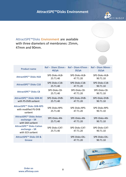

AttractSPE™Disks Environment are available with three diameters of membranes: 25mm, 47mm and 90mm.

| <b>Product name</b>                                                                                   | $40$ /pk                   | Ref - Diam 25mm - Ref - Diam 47mm -<br>$20$ /pk | Ref - Diam 90mm -<br>$10$ /pk |
|-------------------------------------------------------------------------------------------------------|----------------------------|-------------------------------------------------|-------------------------------|
| <b>AttractSPE™ Disks HLB</b>                                                                          | SPE-Disks-HLB-             | SPE-Disks-HLB-                                  | SPE-Disks-HLB-                |
|                                                                                                       | 25.T1.40                   | 47.T1.20                                        | 90.T1.10                      |
| AttractSPE <sup>™</sup> Disks C18                                                                     | SPE-Disks-C18-             | SPE-Disks-C18-                                  | SPE-Disks-C18-                |
|                                                                                                       | 25.T1.40                   | 47.T1.20                                        | 90.T1.10                      |
| AttractSPE <sup>™</sup> Disks C8                                                                      | SPE-Disks-C8-              | SPE-Disks-C8-                                   | SPE-Disks-C8-                 |
|                                                                                                       | 25.T1.40                   | 47.T1.20                                        | 90.T1.10                      |
| <b>AttractSPE™ Disks SDB-XC</b>                                                                       | SPE-Disks-DVB-             | SPE-Disks-DVB-                                  | SPE-Disks-DVB-                |
| with PS-DVB sorbent                                                                                   | 25.T1.40                   | 47.T1.20                                        | 90.T1.10                      |
| <b>AttractSPE™ Disks SDB-RPS</b><br>with modified PS-DVB<br>sorbent                                   | SPE-Disks-RPS-<br>25.T1.40 | SPE-Disks-RPS-<br>47.T1.20                      | SPE-Disks-RPS-<br>90.T1.10    |
| <b>AttractSPE™ Disks Anion</b><br>$\boldsymbol{\mathsf{exchange-SR}}$<br>with SAX sorbent             | SPE-Disks-AN-<br>25.T1.40  | SPE-Disks-AN-<br>47.T1.20                       | SPE-Disks-AN-<br>90.T1.10     |
| <b>AttractSPE<sup>™</sup> Disks Cation</b><br>$\boldsymbol{\mathsf{exchange-SR}}$<br>with SCX sorbent | SPE-Disks-CAT-<br>25.T1.40 | SPE-Disks-CAT-<br>47.T1.20                      | SPE-Disks-CAT-<br>90.T1.10    |
| <b>AttractSPE™ Disks Oil &amp;</b>                                                                    |                            | SPE-Disks-OIL-                                  | SPE-Disks-OIL-                |
| Grease                                                                                                |                            | 47.T1.20                                        | 90.T <sub>1.10</sub>          |



**Order on www.affinisep.com**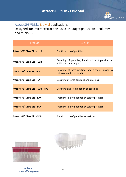

## AttractSPE™Disks BioMol applications

Designed for microexctraction used in Stagetips, 96 well columns and miniSPE.

| Product                                       | Use for                                                                             |
|-----------------------------------------------|-------------------------------------------------------------------------------------|
| AttractSPE™Disks Bio - HLB                    | Fractionation of peptides                                                           |
| AttractSPE <sup>™</sup> Disks Bio - C18       | Desalting of peptides; fractionation of peptides at<br>acidic and neutral pH        |
| <b>AttractSPE<sup>™</sup>Disks Bio - C8</b>   | Desalting of large peptides and proteins; usage as<br>frit to retain beads in a tip |
| AttractSPE <sup>™</sup> Disks Bio - C4        | Desalting of large peptides and proteins                                            |
| AttractSPE <sup>"</sup> Disks Bio - SDB - RPS | Desalting and fractionation of peptides                                             |
| AttractSPE™Disks Bio - SAX                    | Fractionation of peptides by salt or pH steps                                       |
| <b>AttractSPE™Disks Bio - SCX</b>             | Fractionation of peptides by salt or pH steps                                       |
| AttractSPE™Disks Bio - SDB                    | Fractionation of peptides at basic pH                                               |



**Order on www.affinisep.com**

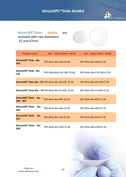### **AFFINIMIP® SPE Patulin kit AttractSPE™Disks BioMol**



AttractSPE™Disks BioMol are available with two diameters: 25 and 47mm.

**Product name Ref – Diam 25mm -40/pk Ref – Diam 47mm -20/pk AttractSPE™Disks Bio -** AttractsPE DISKS BIO - SPE-Disks-Bio-HLB-25.40 SPE-Disks-Bio-HLB-47.20 **AttractSPE™Disks Bio - C18** SPE-Disks-Bio-C18-100. 25.40 SPE-Disks-Bio-C18-100.47.20 **AttractSPE™Disks Bio - C8** SPE-Disks-Bio-C8-100. 25.40 SPE-Disks-Bio-C8-100.47.20 **AttractSPE™Disks Bio – C4** SPE-Disks-Bio-C4-300. 25.40 SPE-Disks-Bio-C4-300.47.20 **AttractSPE™Disks Bio – SDB - RPS** SPE-Disks-Bio-RPS-25.40 SPE-Disks-Bio-RPS-47.20 **AttractSPE™Disks Bio - SAX** SPE-Disks-Bio SPE-Disks-Bio-SAX-25.40<br>SAX **AttractSPE™Disks Bio - SCX** SPE-DISKS BIO SPE-Disks-Bio-SCX-25.40 SPE-Disks-Bio-SCX-47.20 **AttractSPE™Disks Bio - SDB** SPE-Disks-Bio-DVB-25.40 SPE-Disks-Bio-DVB-47.20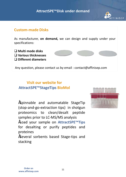

## **Custom-made Disks**

As manufacturer, **on demand,** we can design and supply under your specifications:

q **Multi mode disks** q **Various thicknesses** q **Different diameters**



**Visit our website for AttractSPE™StageTips BioMol**

•Spinnable and automatable StageTip (stop-and-go-extraction tips) in shotgun proteomics to clean/desalt peptide samples prior to LC-MS/MS analysis

•Load your sample on **AttractSPE™Tips** for desalting or purify peptides and proteines

•Several sorbents based Stage-tips and stacking

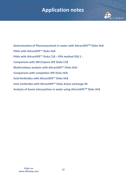## **TABLE OF CONTENTS Application notes**



**Determination of Pharmaceuticals in water with AttractSPETM Disks HLB PAHs with AttractSPE™ Disks HLB PAHs with AttractSPE™ Disks C18 – EPA method 550.1 : Comparison with 3M Empore SPE Disks C18 Multiresidues analysis with AttractSPE™ Disks HLB : Comparison with competitor SPE Disks HLB Acid Herbicides with AttractSPE™ Disks HLB Ionic herbicides with AttractSPE™ Disks Anion exchange SR Analysis of Seven tetracyclines in water using AttractSPETM Disks HLB**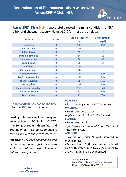

**AttractSPE™ Disks HLB** is successfully tested in similar conditions of EPA 1694 and showed recovery yields >80% for most the analytes.

)

|                         | <b>Spiked recovery</b><br><b>Blank</b> |     | <b>Concentration</b> |
|-------------------------|----------------------------------------|-----|----------------------|
| Analyte                 |                                        | %   | (ng/L)               |
| <b>Penicilin V</b>      | $\overline{0}$                         | 105 | 160                  |
| <b>Flucloxacillin</b>   | 0                                      | 105 | 80                   |
| <b>Sulfathiazole</b>    | $\overline{0}$                         | 92  | 16                   |
| <b>Sulfadimethoxine</b> | 0                                      | 84  | 16                   |
| <b>Sulfamethazine</b>   | $\overline{0}$                         | 88  | 80                   |
| <b>Sulfadiazine</b>     | 0                                      | 95  | 32                   |
| <b>Caffeine</b>         | $\overline{0}$                         | 106 | 80                   |
| Carbamazepine           | 0                                      | 98  | 16                   |
| 4-epitetracycline       | $\overline{0}$                         | 107 | 820                  |
| 4-epioxytetracycline    | 0                                      | 104 | 440                  |
| Oxytetracycline         | $\overline{0}$                         | 78  | 1160                 |
| <b>Tetracycline</b>     | 0                                      | 102 | 860                  |
| 4-epichlorotetracycline | $\overline{0}$                         | 113 | 720                  |
| Chlorotetracycline      | 0                                      | 87  | 800                  |
| <b>Doxycycline</b>      | $\overline{0}$                         | 49  | 800                  |

**INSTALLATION AND CONDITIONING** Put the SPE disk on the holder

**Loading solution**: One liter of reagent water put to pH 2-2,5 with HCl 37%. Add 80mg of sodium thiosulfate, and 500 mg of EDTA-Na<sub>4</sub>2H<sub>2</sub>O. Solution is then spiked with analytes of interest.

*Important: For each conditioning and elution step, apply a fast vacuum to soak the disk and wait 1 minute before starting elution.*

### **LOADING**

•1 L of loading solution in 15 minutes **WASHING**

•20 mL ultrapure water

*Apply vacuum for 30 s to dry the disk* **ELUTION**

•20 mL Methanol

•*(for tetracyclines only)*4\*20 mL Methanol

+3% Formic Acid

### **ANALYSIS**

•Evaporation under  $N_2$  and dissolved in mobile phase.

•Tetracyclines: Elutions mixed and diluted by 4 with water 5mM Oxalic Acid, prior to analysis. (Can also be evaporated

**Catalog number:**

AttractSPE™ Disks HLB - 47mm diameter, 20/pk : SPE-Disks-HLB-47.T1.20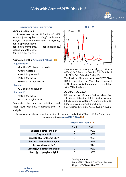## **PAHs with AttractSPETM Disks HLB**



#### **PROTOCOL OF PURIFICATION**

#### **Sample preparation**

Benzo[a]pyrene, 1L of water was put to pH<2 with HCl 37% (optional) and spiked at 20ng/L with each analyte (Benzo[a]anthracene, Chrysene, benzo[b]fluorantheme, benzo[k]fluorantheme, Dibenz[a,h]anthracene, Benzo[g,h,i]perylene).

#### **Purification with a AttractSPE™Disks HLB**

#### **Equilibration**

- •Put the SPE disk on the holder
- •10 mL Acetone
- •10 mL Isopropanol
- •10 mL Methanol
- •50 mL of ultrapure water

#### **Loading**

•1 L of loading solution

#### **Elution (E)**

- •10 mL Methanol
- •4x10 mL Ethyl Acetate

Evaporate the elution solution and reconstitute with 5mL Acetonitrile prior to analysis



Fluorescence chromatograms ( $\lambda_{\text{exc}/\text{em}}$  252nm / 400nm) for 7 PAHs (1 - BaA, 2 – CHR, 3- BbFA, 4 – BkFA, 5- BaP, 6- DbahA, 7 - BghiP) The black profile uses the **AttractSPE™ Disks HLB** to concentrate the 20ng/L PAHs contained

in 1L of water while the red one is the solution with PAHs standards.

#### *Conditions of analysis:*

LC-Fluorescence. Column: Zorbax eclipse PAH 4,6\*50mm (1,8µm), at 30°C. Injection volume: 50 μL. Isocratic: Water / Acetonitrile 15 / 85. Flow rate: 0.5 mL/min, run of 25min.

Fluorescence detection: λexc/em 252nm / 400nm

Recovery yields obtained for the loading of 1L of water spiked with 7 PAHs at 20 ng/L each and concentrated using **AttractSPE™ Disks HLB** 

|                             | <b>AttractSPE™ Disks HLB</b> |        |  |
|-----------------------------|------------------------------|--------|--|
|                             | <b>Blank</b>                 | Spiked |  |
| Benzo[a]anthracene BaA      | O                            | 90%    |  |
| <b>Chrysene CHR</b>         | 0                            | 90%    |  |
| benzo[b]fluorantheme BbFA   | O                            | 90%    |  |
| benzo[k]fluorantheme BjFA   | 0                            | 96%    |  |
| Benzo[a]pyrene BaP          | O                            | 91%    |  |
| Dibenz[a,h]anthracene DBahA | 0                            | 92%    |  |
| Benzo[g,h,i]perylene BghiP  | O                            | 99%    |  |

**Catalog number:** AttractSPE™ Disks HLB - 47mm diameter, 20/pk : SPE-Disks-HLB-47.T1.20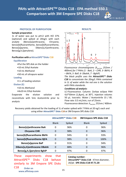FINISER

#### **PROTOCOL OF PURIFICATION**

#### **Sample preparation**

1L of water was put to pH<2 with HCl 37% (optional) and spiked at 20ng/L with each analyte (Benzo[a]anthracene, Chrysene, benzo[b]fluorantheme, benzo[k]fluorantheme, Benzo[a]pyrene, Dibenz[a,h]anthracene, Benzo[g,h,i]perylene).

#### **Purification with a AttractSPE™Disks C18**

#### **Equilibration**

- •Put the SPE disk on the holder
- •10 mL Ethyl Acetate
- •10 mL Methanol
- •50 mL of ultrapure water

#### **Loading**

- •1 L of loading solution
- **Elution (E)**
	- •10 mL Methanol
	- •4x10 mL Ethyl Acetate

Evaporate the elution solution and reconstitute with 5mL Acetonitrile prior to analysis



Minutes *Fluorescence chromatograms (λexc/em 252nm / 400nm) for 7 PAHs (1 - BaA, 2 – CHR, 3- BbFA, 4 – BkFA, 5- BaP, 6- DbahA, 7 - BghiP)*

*The black profile uses the AttractSPE™ Disks C18 to concentrate the 20ng/L PAHs contained in 1L of water while the red one is the solution with PAHs standards.*

#### *Conditions of analysis:*

LC-Fluorescence. Column: Zorbax eclipse PAH 4,6\*50mm (1,8µm), at 30°C. Injection volume: 50 μL. Isocratic: Water / Acetonitrile 15 / 85. Flow rate: 0.5 mL/min, run of 25min. Fluorescence detection:  $λ_{exc/cm}$  252nm / 400nm

Recovery yields obtained for the loading of 1L of water spiked with 7 PAHs at 20 ng/L each and using either **AttractSPE™ Disks C18** or 3M Empore SPE disks C18

|                             | AttractSPE <sup>™</sup> Disks C18 |        | 3M Empore SPE disks C18 |        |
|-----------------------------|-----------------------------------|--------|-------------------------|--------|
|                             | <b>Blank</b>                      | Spiked | <b>Blank</b>            | Spiked |
| Benzo[a]anthracene BaA      | 0                                 | 96%    | 0                       | 96%    |
| <b>Chrysene CHR</b>         | 0                                 | 98%    | 0                       | 96%    |
| benzo[b]fluorantheme BbFA   | <sup>0</sup>                      | 94%    | O                       | 93%    |
| benzo[k]fluorantheme BjFA   | $\Omega$                          | 98%    | 0                       | 100%   |
| Benzo[a]pyrene BaP          | $\Omega$                          | 91%    | 0                       | 94%    |
| Dibenz[a,h]anthracene DBahA | $\Omega$                          | 88%    | 0                       | 96%    |
| Benzo[g,h,i]perylene BghiP  | 0                                 | 97%    | 0                       | 97%    |

These experiments show that AttractSPE™ Disks C18 behave similarly to 3M Empore SPE Disks C18

#### **Catalog number:**

**AttractSPE™ Disks C18** - 47mm diameter, 20/pk : **SPE-Disks-C18-47.T1.20**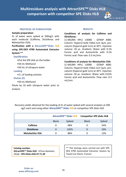## **Multiresidues analysis with AttractSPETM Disks HLB comparison with competitor SPE Disks HLB**



#### **PROTOCOL OF PURIFICATION**

#### **Sample preparation**

2L of water were spiked at 200ng/L with each molecule (Caffeine, Diclofenac and Metolachlor ESA).

#### **Purification with a AttractSPE™Disks HLB using SPE-DEX 4790 Automated Extractor System \*\***

#### **Equilibration**

- •Put the SPE disk on the holder
- •50 mL Methanol
- •50 mL of ultrapure water

#### **Loading**

•2 L of loading solution

#### **Elution (E)**

•50 mL Methanol

Dilute by 10 with ultrapure water prior to analysis

#### **RESULTS**

#### **Conditions of analysis for Caffeine and Diclofenac:**

LC-MS/MS HPLC U3000 - QTRAP 4000. Column: Hypersil Gold 150x2.1cm 3μm, precolumn (hypersil gold 1cm) at 30°C. Injection volume: 20 μL. Gradient: Water with 0.1% Formic acid and Acetonitrile with 0.1% Formic acid. Flow rate: 0.3 mL/min.

#### **Conditions of analysis for Metolachlor ESA:**

LC-MS/MS HPLC U3000 - QTRAP 4000. Column: Hypersil Gold 150x2.1cm 3μm, precolumn (hypersil gold 1cm) at 30°C. Injection volume: 20 μL. Gradient: Water with 0.01% Formic acid and Acetonitrile. Flow rate: 0.3 mL/min.

Recovery yields obtained for the loading of 2L of water spiked with several analytes at 200 ng/L each and using either **AttractSPE™ Disks HLB** or competitor SPE disks HLB

|                        |              | <b>AttractSPE™ Disks HLB</b> |              | <b>Competitor SPE disks HLB</b> |
|------------------------|--------------|------------------------------|--------------|---------------------------------|
|                        | <b>Blank</b> | Spiked                       | <b>Blank</b> | Spiked                          |
| Caffeine               | 0            | 98%                          |              | 54%                             |
| <b>Diclofenac</b>      |              | 102%                         |              | 33%                             |
| <b>Metolachlor ESA</b> |              | 88%                          |              | 13%                             |

**Catalog number: AttractSPE™ Disks HLB** - 47mm diameter, 20/pk : **SPE-Disks-HLB-47.T1.20**

\*\* The testings were carried out with SPE-DEX 4790 Automated Extractor System by Toxem (Le Havre, France)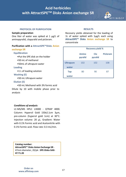## **Acid herbicides with AttractSPETM Disks Anion exchange SR**



#### **PROTOCOL OF PURIFICATION**

#### **Sample preparation**

One liter of water was spiked at 1 µg/L of aminopyralid, clopyralid and picloram.

#### **Purification with a AttractSPE™Disks Anion**

#### **exchange SR**

#### **Equilibration**

- •Put the SPE disk on the holder
- •50 mL of methanol
- •50mL of ultrapure water

#### **Loading**

•1 L of loading solution

#### **Washing (E)**

•50 mL Ultrapure water

#### **Elution (E)**

•50 mL Methanol with 3% formic acid Dilute by 10 with mobile phase prior to analysis

#### *Conditions of analysis:*

LC-MS/MS HPLC U3000 - QTRAP 4000. Column: Hypersil Gold 150x2.1cm 3µm, pre-column (hypersil gold 1cm) at 30°C. Injection volume: 20 µL. Gradient: Water with 0.1% Formic acid and Acetonitrile with 0.1% Formic acid. Flow rate: 0.3 mL/min.

**Catalog number: AttractSPE™ Disks Anion Exchange SR** - 47mm diameter, 20/pk : **SPE-Disks-SAX-47.T1.20**

#### **RESULTS**

Recovery yields obtained for the loading of 1L of water spiked with 1µg/L each using **AttractSPE™ Disks Anion exchange SR** to concentrate

|                  | <b>Recovery yield %</b> |                |          |  |
|------------------|-------------------------|----------------|----------|--|
|                  | <b>Amino</b><br>pyralid | Clo<br>pyralid | Picloram |  |
| <b>Ultrapure</b> | 102                     | 102            | 108      |  |
| water            |                         |                |          |  |
| Tap              | 80                      | 90             | 87       |  |
| water            |                         |                |          |  |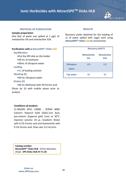## **Ionic Herbicides with AttractSPETM Disks HLB**



#### **PROTOCOL OF PURIFICATION**

#### **Sample preparation**

One liter of water was spiked at 1 µg/L of metolachlor OA and metolachlor ESA.

#### **Purification with a AttractSPE™ Disks HLB**

#### **Equilibration**

- •Put the SPE disk on the holder
- •50 mL of methanol
- •50mL of ultrapure water

#### **Loading**

•1 L of loading solution

#### **Washing (E)**

•50 mL Ultrapure water

#### **Elution (E)**

•50 mL Methanol with 3% formic acid Dilute by 10 with mobile phase prior to analysis

#### *Conditions of analysis:*

LC-MS/MS HPLC U3000 - QTRAP 4000. Column: Hypersil Gold 150x2.1cm 3µm, pre-column (hypersil gold 1cm) at 30°C. Injection volume: 20 µL. Gradient: Water with 0.1% Formic acid and Acetonitrile with 0.1% Formic acid. Flow rate: 0.3 mL/min.

**Catalog number: AttractSPE™ Disks HLB** - 47mm diameter, 20/pk : **SPE-Disks-HLB-47.T1.20**

#### **RESULTS**

Recovery yields obtained for the loading of 1L of water spiked with 1µg/L each using **AttractSPE™ Disks HLB** to concentrate

|                           | <b>Recovery yield %</b>  |                                  |  |
|---------------------------|--------------------------|----------------------------------|--|
|                           | Metolachlor<br><b>OA</b> | <b>Metolachlor</b><br><b>ESA</b> |  |
| <b>Ultrapure</b><br>water | 100                      | 102                              |  |
| <b>Tap water</b>          | 98                       | 90                               |  |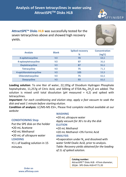

**AttractSPE™ Disks HLB** was successfully tested for the seven tetracyclines above and showed high recovery yields.



|                         | <b>Blank</b> | <b>Spiked recovery</b> | Concentration |
|-------------------------|--------------|------------------------|---------------|
| Analyte                 |              | %                      | (ng/L)        |
| 4-epitetracycline       | <b>ND</b>    | 70                     | 68,6          |
| 4-epioxytetracycline    | <b>ND</b>    | 97                     | 36,6          |
| <b>Oxytetracycline</b>  | <b>ND</b>    | 87                     | 96,6          |
| <b>Tetracycline</b>     | <b>ND</b>    | 75                     | 71,3          |
| 4-epichlorotetracycline | <b>ND</b>    | 105                    | 59,9          |
| Chlorotetracycline      | <b>ND</b>    | 75                     | 66,6          |
| <b>Doxycycline</b>      | <b>ND</b>    | 93                     | 66,6          |

**Loading solution**: To one liter of water, 22,195g of Disodium Hydrogen Phosphate heptahydrate, 11,257g of Citric Acid, and 500mg of ETDA-Na<sub>4</sub>.2H<sub>2</sub>O are added. The solution is mixed until total dissolution (pH measured =  $4,2$ ) and spiked with tetracyclines.

*Important: For each conditioning and elution step, apply a fast vacuum to soak the disk and wait 1 minute before starting elution.*

**Condition of analysis:** LC/MS-MS ESI+, Please find c*omplete method available at our website*

### **CONDITIONING Step**

Put the SPE disk on the holder

- •20 mL Acetone
- •50 mL Methanol
- •20 mL of ultrapure water **LOADING**

•1 L of loading solution in 15 minutes

#### **WASHING**

•20 mL ultrapure water

*Apply vacuum for 30 s to dry the disk* **ELUTION**

•20 mL Methanol

•20 mL Methanol +3% Formic Acid

### **ANALYSIS**

•Evaporation under  $N_2$  and dissolved with water 5mM Oxalic Acid, prior to analysis. *Table: Recovery yields obtained for the loading of 1L of spiked solution.*

**Catalog number:**

AttractSPE™ Disks HLB - 47mm diameter, 20/pk : SPE-Disks-HLB-47.T1.20